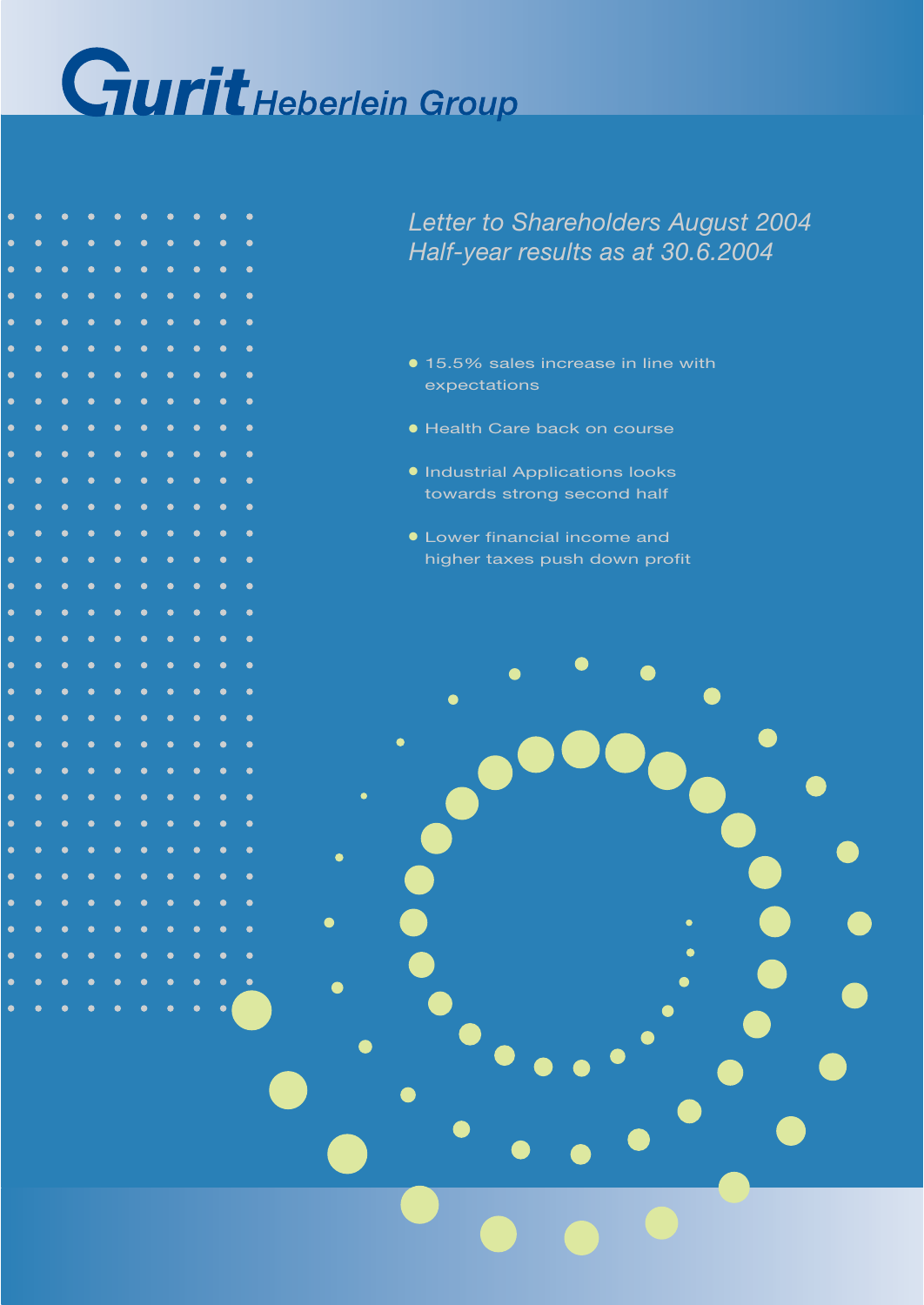

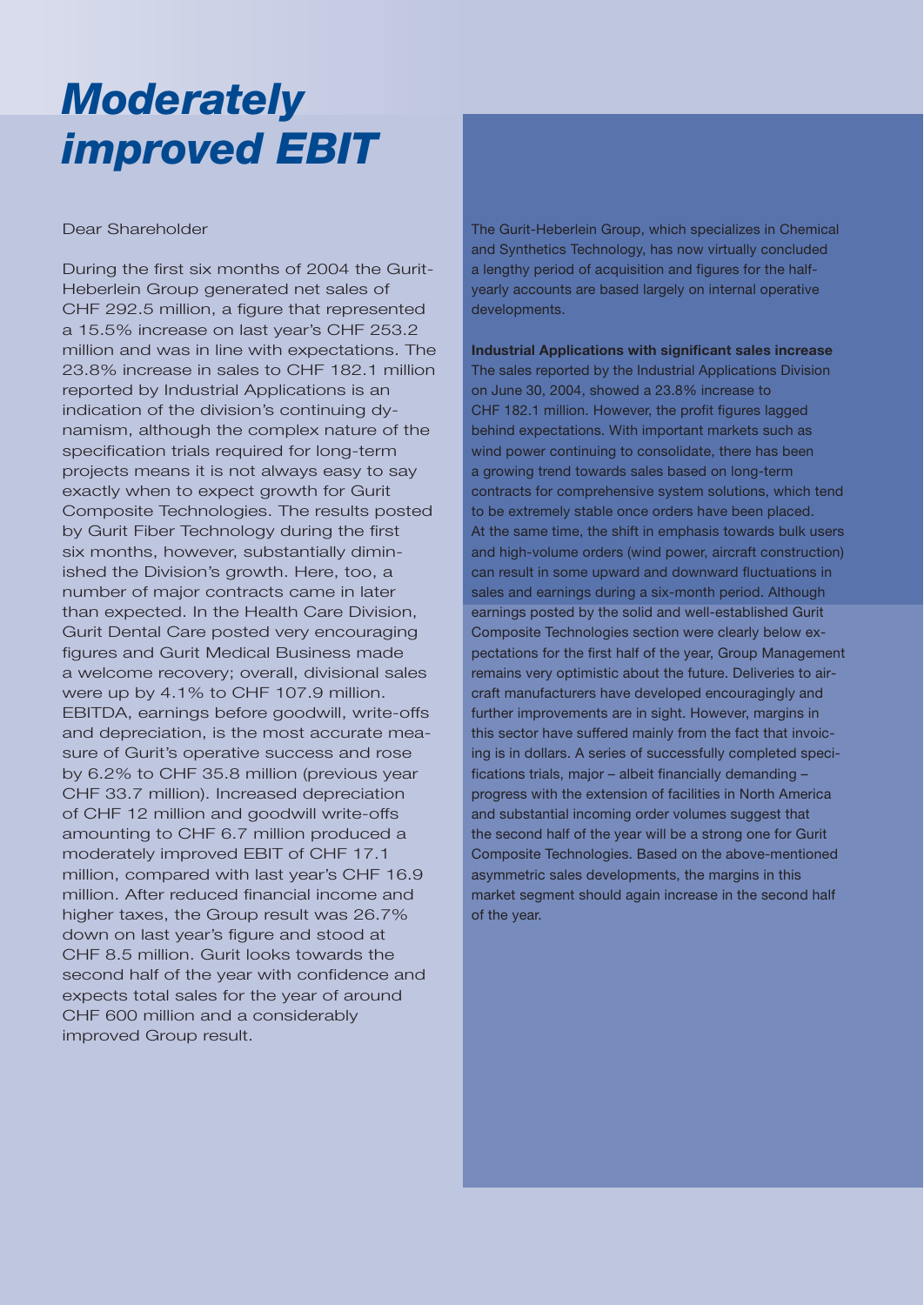## *Moderately improved EBIT*

### Dear Shareholder

During the first six months of 2004 the Gurit-Heberlein Group generated net sales of CHF 292.5 million, a figure that represented a 15.5% increase on last year's CHF 253.2 million and was in line with expectations. The 23.8% increase in sales to CHF 182.1 million reported by Industrial Applications is an indication of the division's continuing dynamism, although the complex nature of the specification trials required for long-term projects means it is not always easy to say exactly when to expect growth for Gurit Composite Technologies. The results posted by Gurit Fiber Technology during the first six months, however, substantially diminished the Division's growth. Here, too, a number of major contracts came in later than expected. In the Health Care Division, Gurit Dental Care posted very encouraging figures and Gurit Medical Business made a welcome recovery; overall, divisional sales were up by 4.1% to CHF 107.9 million. EBITDA, earnings before goodwill, write-offs and depreciation, is the most accurate measure of Gurit's operative success and rose by 6.2% to CHF 35.8 million (previous year CHF 33.7 million). Increased depreciation of CHF 12 million and goodwill write-offs amounting to CHF 6.7 million produced a moderately improved EBIT of CHF 17.1 million, compared with last year's CHF 16.9 million. After reduced financial income and higher taxes, the Group result was 26.7% down on last year's figure and stood at CHF 8.5 million. Gurit looks towards the second half of the year with confidence and expects total sales for the year of around CHF 600 million and a considerably improved Group result.

The Gurit-Heberlein Group, which specializes in Chemical and Synthetics Technology, has now virtually concluded a lengthy period of acquisition and figures for the halfyearly accounts are based largely on internal operative developments.

**Industrial Applications with significant sales increase** The sales reported by the Industrial Applications Division on June 30, 2004, showed a 23.8% increase to CHF 182.1 million. However, the profit figures lagged behind expectations. With important markets such as wind power continuing to consolidate, there has been a growing trend towards sales based on long-term contracts for comprehensive system solutions, which tend to be extremely stable once orders have been placed. At the same time, the shift in emphasis towards bulk users and high-volume orders (wind power, aircraft construction) can result in some upward and downward fluctuations in sales and earnings during a six-month period. Although earnings posted by the solid and well-established Gurit Composite Technologies section were clearly below expectations for the first half of the year, Group Management remains very optimistic about the future. Deliveries to aircraft manufacturers have developed encouragingly and further improvements are in sight. However, margins in this sector have suffered mainly from the fact that invoicing is in dollars. A series of successfully completed specifications trials, major – albeit financially demanding – progress with the extension of facilities in North America and substantial incoming order volumes suggest that the second half of the year will be a strong one for Gurit Composite Technologies. Based on the above-mentioned asymmetric sales developments, the margins in this market segment should again increase in the second half of the year.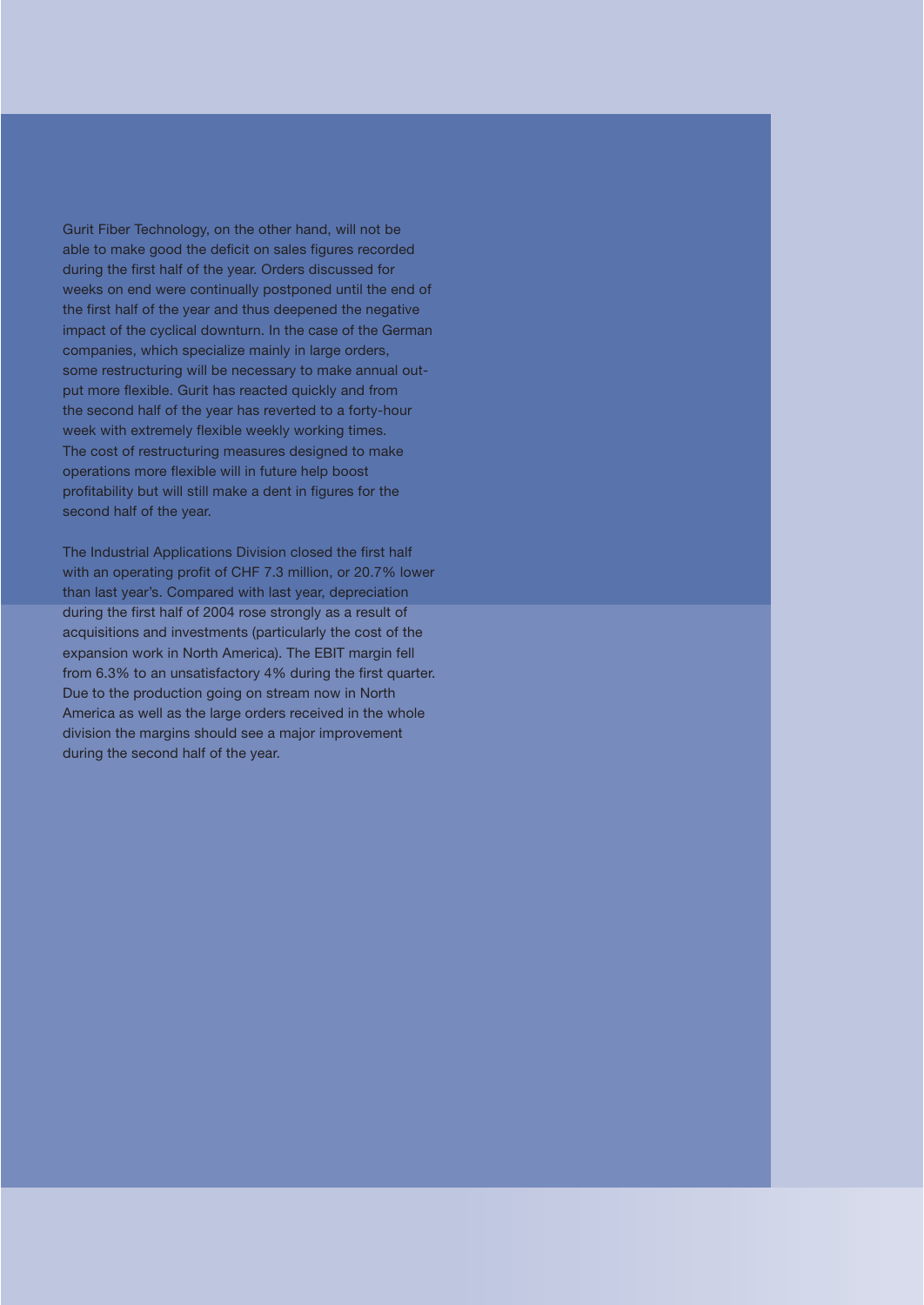Gurit Fiber Technology, on the other hand, will not be able to make good the deficit on sales figures recorded during the first half of the year. Orders discussed for weeks on end were continually postponed until the end of the first half of the year and thus deepened the negative impact of the cyclical downturn. In the case of the German companies, which specialize mainly in large orders, some restructuring will be necessary to make annual output more flexible. Gurit has reacted quickly and from the second half of the year has reverted to a forty-hour week with extremely flexible weekly working times. The cost of restructuring measures designed to make operations more flexible will in future help boost profitability but will still make a dent in figures for the second half of the year.

The Industrial Applications Division closed the first half with an operating profit of CHF 7.3 million, or 20.7% lower than last year's. Compared with last year, depreciation during the first half of 2004 rose strongly as a result of acquisitions and investments (particularly the cost of the expansion work in North America). The EBIT margin fell from 6.3% to an unsatisfactory 4% during the first quarter. Due to the production going on stream now in North America as well as the large orders received in the whole division the margins should see a major improvement during the second half of the year.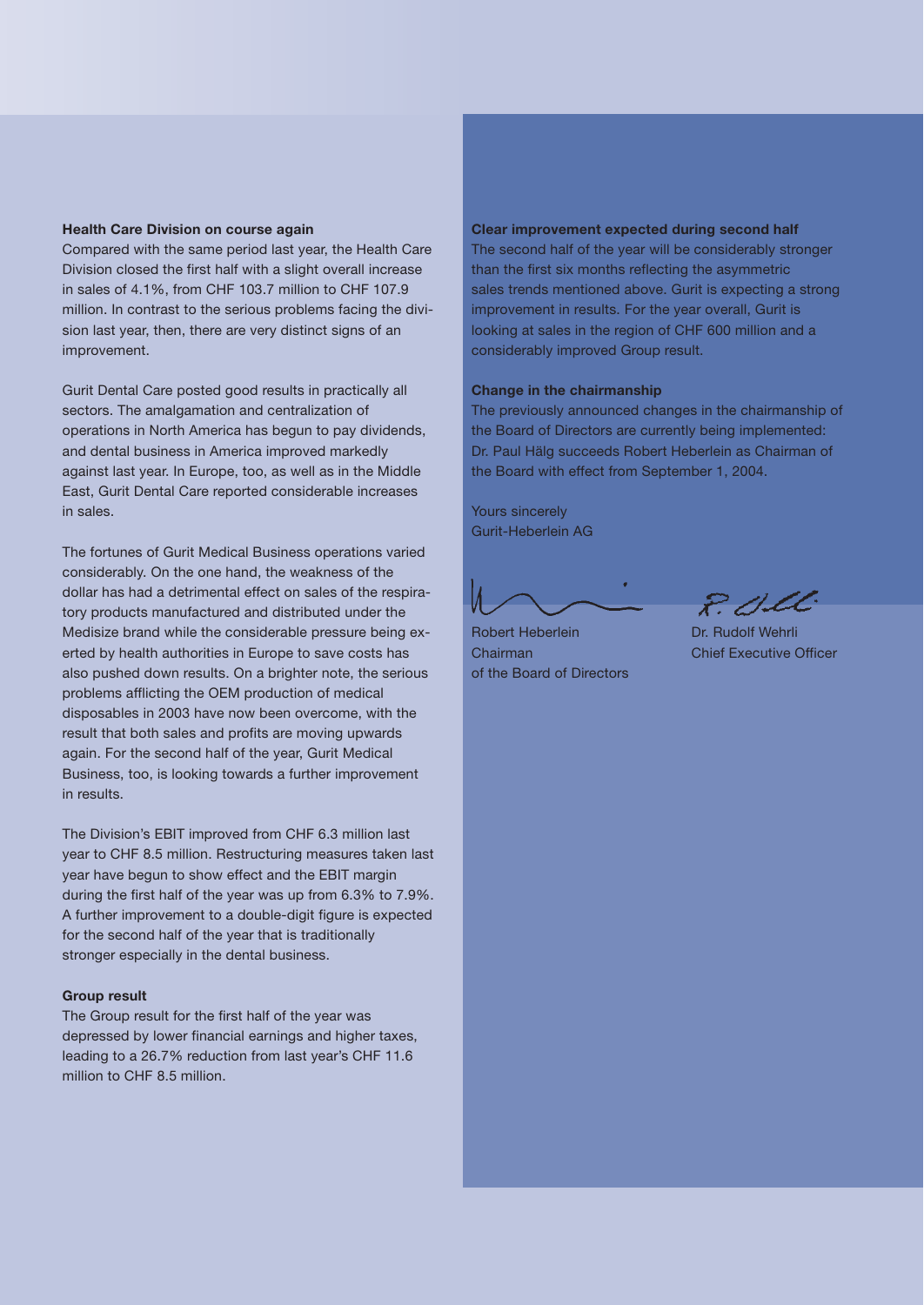#### **Health Care Division on course again**

Compared with the same period last year, the Health Care Division closed the first half with a slight overall increase in sales of 4.1%, from CHF 103.7 million to CHF 107.9 million. In contrast to the serious problems facing the division last year, then, there are very distinct signs of an improvement.

Gurit Dental Care posted good results in practically all sectors. The amalgamation and centralization of operations in North America has begun to pay dividends, and dental business in America improved markedly against last year. In Europe, too, as well as in the Middle East, Gurit Dental Care reported considerable increases in sales.

The fortunes of Gurit Medical Business operations varied considerably. On the one hand, the weakness of the dollar has had a detrimental effect on sales of the respiratory products manufactured and distributed under the Medisize brand while the considerable pressure being exerted by health authorities in Europe to save costs has also pushed down results. On a brighter note, the serious problems afflicting the OEM production of medical disposables in 2003 have now been overcome, with the result that both sales and profits are moving upwards again. For the second half of the year, Gurit Medical Business, too, is looking towards a further improvement in results.

The Division's EBIT improved from CHF 6.3 million last year to CHF 8.5 million. Restructuring measures taken last year have begun to show effect and the EBIT margin during the first half of the year was up from 6.3% to 7.9%. A further improvement to a double-digit figure is expected for the second half of the year that is traditionally stronger especially in the dental business.

#### **Group result**

The Group result for the first half of the year was depressed by lower financial earnings and higher taxes, leading to a 26.7% reduction from last year's CHF 11.6 million to CHF 8.5 million.

#### **Clear improvement expected during second half**

The second half of the year will be considerably stronger than the first six months reflecting the asymmetric sales trends mentioned above. Gurit is expecting a strong improvement in results. For the year overall, Gurit is looking at sales in the region of CHF 600 million and a considerably improved Group result.

#### **Change in the chairmanship**

The previously announced changes in the chairmanship of the Board of Directors are currently being implemented: Dr. Paul Hälg succeeds Robert Heberlein as Chairman of the Board with effect from September 1, 2004.

Yours sincerely Gurit-Heberlein AG

Robert Heberlein Dr. Rudolf Wehrli Chairman Chief Executive Officer of the Board of Directors

 $R$   $CL$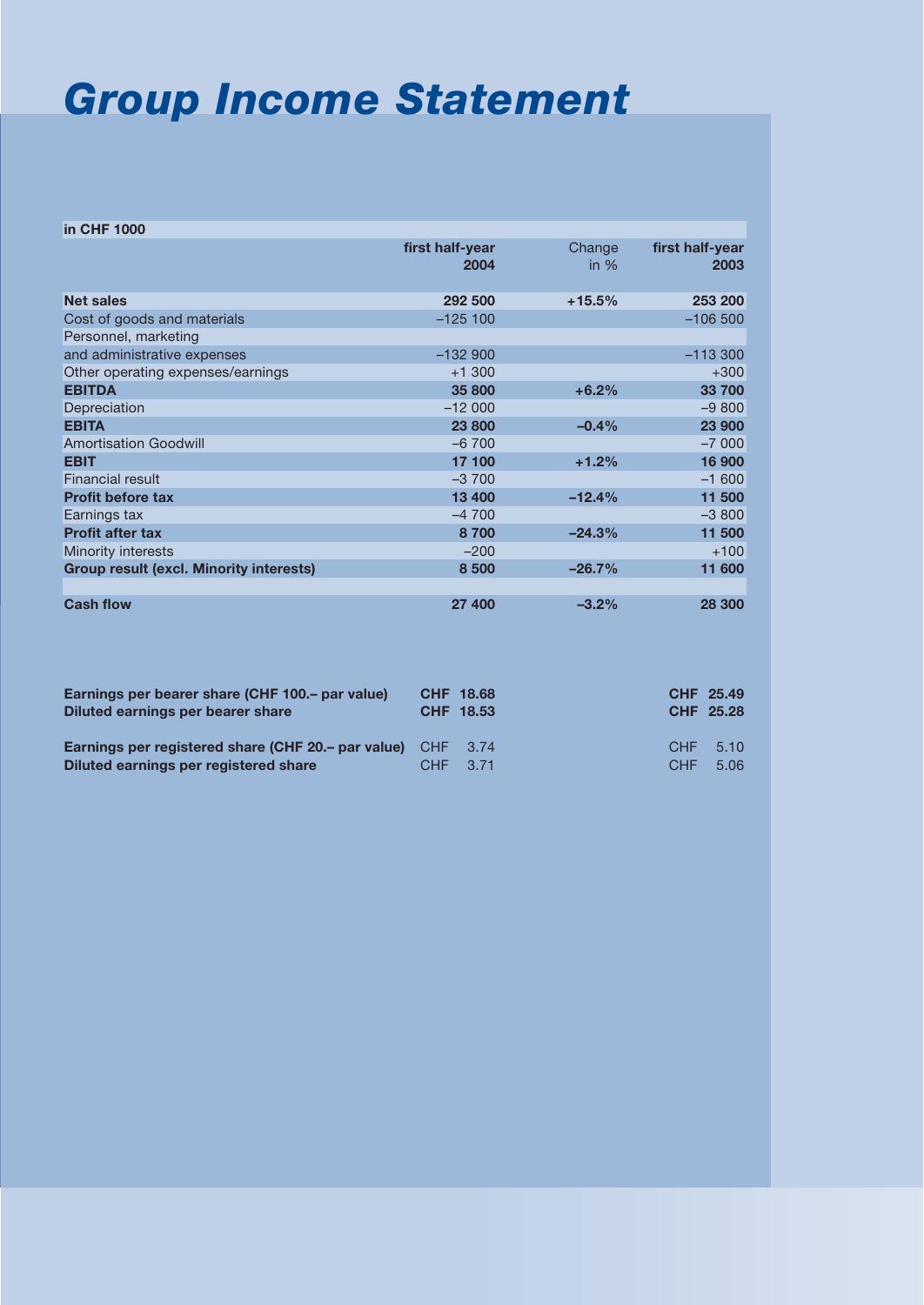### *Group Income Statement*

| in CHF 1000                                    |                         |                  |                         |
|------------------------------------------------|-------------------------|------------------|-------------------------|
|                                                | first half-year<br>2004 | Change<br>in $%$ | first half-year<br>2003 |
| <b>Net sales</b>                               | 292 500                 | $+15.5%$         | 253 200                 |
| Cost of goods and materials                    | $-125100$               |                  | $-106500$               |
| Personnel, marketing                           |                         |                  |                         |
| and administrative expenses                    | $-132900$               |                  | $-113300$               |
| Other operating expenses/earnings              | $+1300$                 |                  | $+300$                  |
| <b>EBITDA</b>                                  | 35 800                  | $+6.2%$          | 33 700                  |
| Depreciation                                   | $-12000$                |                  | $-9800$                 |
| <b>EBITA</b>                                   | 23 800                  | $-0.4%$          | 23 900                  |
| <b>Amortisation Goodwill</b>                   | $-6700$                 |                  | $-7000$                 |
| <b>EBIT</b>                                    | 17 100                  | $+1.2%$          | 16 900                  |
| Financial result                               | $-3700$                 |                  | $-1600$                 |
| <b>Profit before tax</b>                       | 13 400                  | $-12.4%$         | 11 500                  |
| Earnings tax                                   | $-4700$                 |                  | $-3800$                 |
| <b>Profit after tax</b>                        | 8700                    | $-24.3%$         | 11 500                  |
| Minority interests                             | $-200$                  |                  | $+100$                  |
| <b>Group result (excl. Minority interests)</b> | 8 500                   | $-26.7%$         | 11 600                  |
|                                                |                         |                  |                         |
| <b>Cash flow</b>                               | 27 400                  | $-3.2%$          | 28 300                  |

| Earnings per bearer share (CHF 100. - par value)<br>Diluted earnings per bearer share                       | CHF 18.68<br>CHF 18.53 |                   | CHF 25.49<br><b>CHF 25.28</b> |
|-------------------------------------------------------------------------------------------------------------|------------------------|-------------------|-------------------------------|
| <b>Earnings per registered share (CHF 20.– par value)</b> CHF 3.74<br>Diluted earnings per registered share | CHF 3.71               | CHF<br><b>CHF</b> | 5.10<br>5.06                  |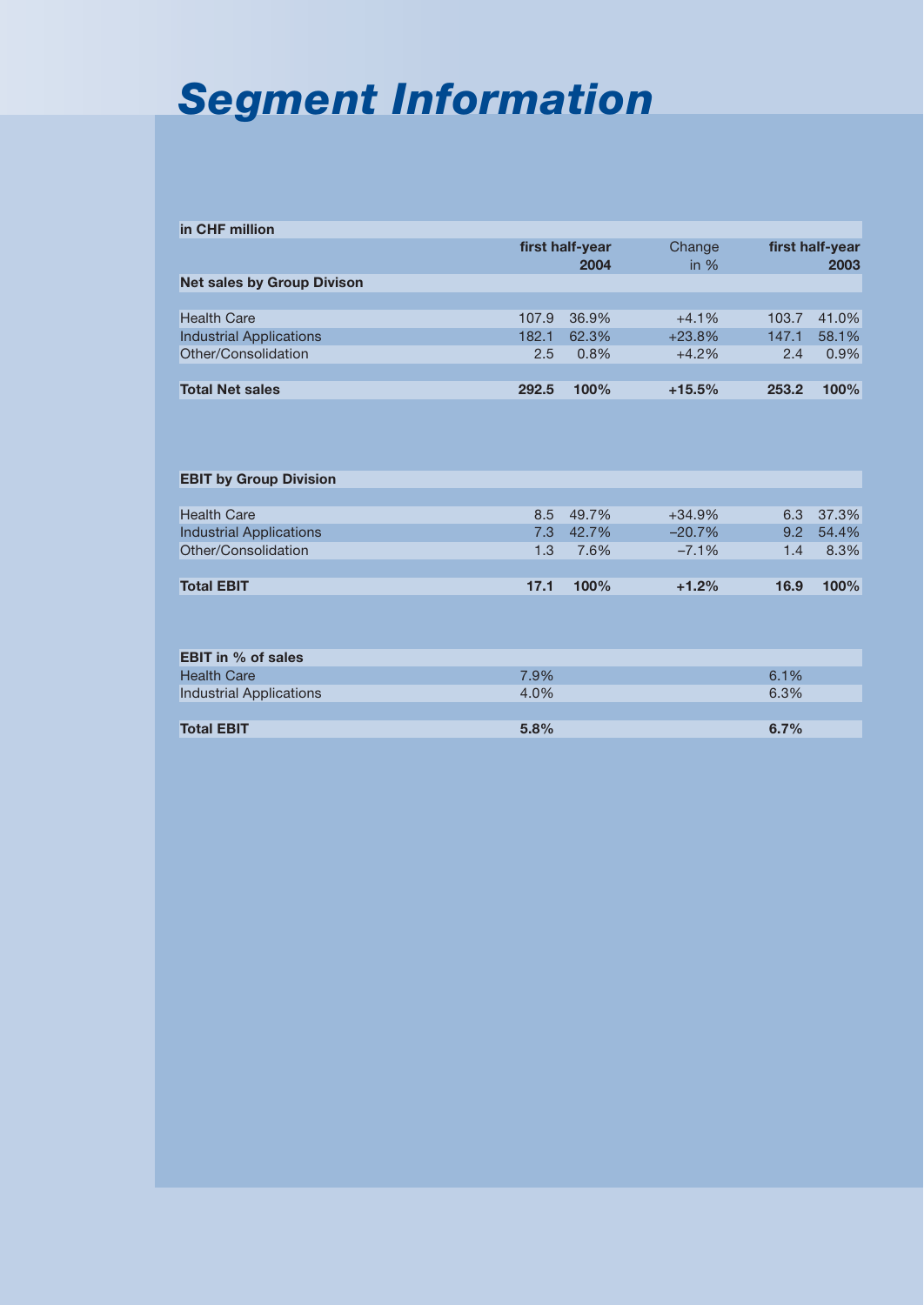# *Segment Information*

| in CHF million                    |       |                 |          |       |                 |
|-----------------------------------|-------|-----------------|----------|-------|-----------------|
|                                   |       | first half-year | Change   |       | first half-year |
|                                   |       | 2004            | in $%$   |       | 2003            |
| <b>Net sales by Group Divison</b> |       |                 |          |       |                 |
|                                   |       |                 |          |       |                 |
| <b>Health Care</b>                | 107.9 | 36.9%           | $+4.1%$  | 103.7 | 41.0%           |
| <b>Industrial Applications</b>    | 182.1 | 62.3%           | $+23.8%$ | 147.1 | 58.1%           |
| Other/Consolidation               | 2.5   | 0.8%            | $+4.2%$  | 2.4   | 0.9%            |
|                                   |       |                 |          |       |                 |
| <b>Total Net sales</b>            | 292.5 | 100%            | $+15.5%$ | 253.2 | 100%            |
|                                   |       |                 |          |       |                 |
|                                   |       |                 |          |       |                 |
|                                   |       |                 |          |       |                 |
|                                   |       |                 |          |       |                 |
| <b>EBIT by Group Division</b>     |       |                 |          |       |                 |
|                                   |       |                 |          |       |                 |
| <b>Health Care</b>                | 8.5   | 49.7%           | $+34.9%$ | 6.3   | 37.3%           |
| <b>Industrial Applications</b>    | 7.3   | 42.7%           | $-20.7%$ | 9.2   | 54.4%           |
| Other/Consolidation               | 1.3   | 7.6%            | $-7.1%$  | 1.4   | 8.3%            |
|                                   |       |                 |          |       |                 |
| <b>Total EBIT</b>                 | 17.1  | 100%            | $+1.2%$  | 16.9  | 100%            |
|                                   |       |                 |          |       |                 |
|                                   |       |                 |          |       |                 |
|                                   |       |                 |          |       |                 |
| <b>EBIT in % of sales</b>         |       |                 |          |       |                 |
| <b>Health Care</b>                | 7.9%  |                 |          | 6.1%  |                 |
| <b>Industrial Applications</b>    | 4.0%  |                 |          | 6.3%  |                 |
|                                   |       |                 |          |       |                 |

| <b>Total EBIT</b> | 5.8% | 6.7% |
|-------------------|------|------|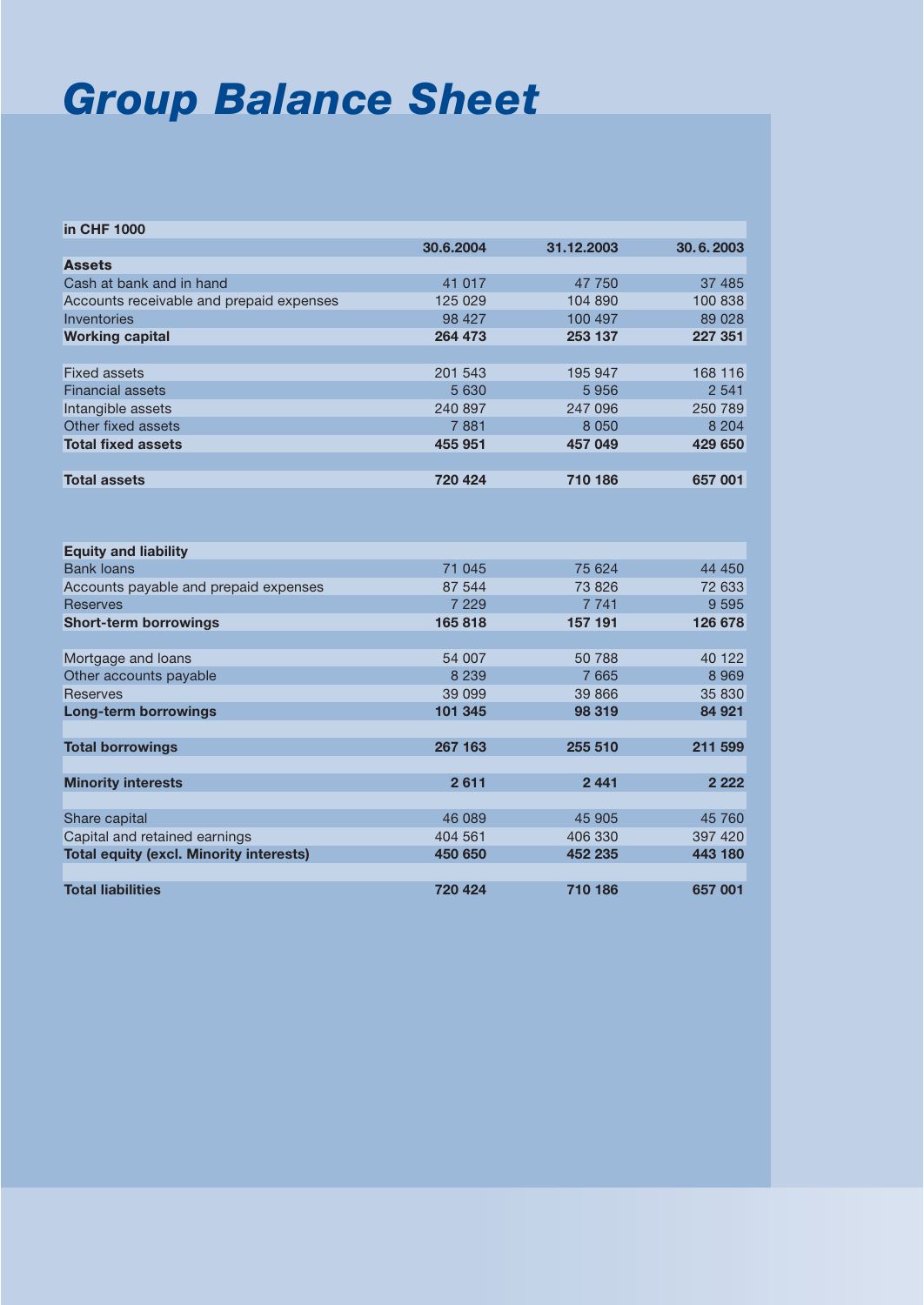## *Group Balance Sheet*

| in CHF 1000                                    |           |            |           |
|------------------------------------------------|-----------|------------|-----------|
|                                                | 30.6.2004 | 31.12.2003 | 30.6.2003 |
| <b>Assets</b>                                  |           |            |           |
| Cash at bank and in hand                       | 41 017    | 47 750     | 37 485    |
| Accounts receivable and prepaid expenses       | 125 029   | 104 890    | 100 838   |
| Inventories                                    | 98 427    | 100 497    | 89 0 28   |
| <b>Working capital</b>                         | 264 473   | 253 137    | 227 351   |
|                                                |           |            |           |
| Fixed assets                                   | 201 543   | 195 947    | 168 116   |
| <b>Financial assets</b>                        | 5 6 3 0   | 5956       | 2 5 4 1   |
| Intangible assets                              | 240 897   | 247 096    | 250 789   |
| Other fixed assets                             | 7881      | 8 0 5 0    | 8 2 0 4   |
| <b>Total fixed assets</b>                      | 455 951   | 457 049    | 429 650   |
|                                                |           |            |           |
| <b>Total assets</b>                            | 720 424   | 710 186    | 657 001   |
|                                                |           |            |           |
|                                                |           |            |           |
|                                                |           |            |           |
| <b>Equity and liability</b>                    |           |            |           |
| <b>Bank loans</b>                              | 71 045    | 75 624     | 44 450    |
| Accounts payable and prepaid expenses          | 87 544    | 73 826     | 72 633    |
| <b>Reserves</b>                                | 7 2 2 9   | 7 7 4 1    | 9 5 9 5   |
| <b>Short-term borrowings</b>                   | 165818    | 157 191    | 126 678   |
|                                                |           |            |           |
| Mortgage and loans                             | 54 007    | 50 788     | 40 122    |
| Other accounts payable                         | 8 2 3 9   | 7 6 6 5    | 8 9 6 9   |
| <b>Reserves</b>                                | 39 099    | 39 866     | 35 830    |
| <b>Long-term borrowings</b>                    | 101 345   | 98 319     | 84 921    |
|                                                |           |            |           |
| <b>Total borrowings</b>                        | 267 163   | 255 510    | 211 599   |
|                                                |           |            |           |
| <b>Minority interests</b>                      | 2611      | 2441       | 2 2 2 2   |
|                                                |           |            |           |
| Share capital                                  | 46 089    | 45 905     | 45 760    |
| Capital and retained earnings                  | 404 561   | 406 330    | 397 420   |
| <b>Total equity (excl. Minority interests)</b> | 450 650   | 452 235    | 443 180   |
|                                                |           |            |           |
| <b>Total liabilities</b>                       | 720 424   | 710 186    | 657 001   |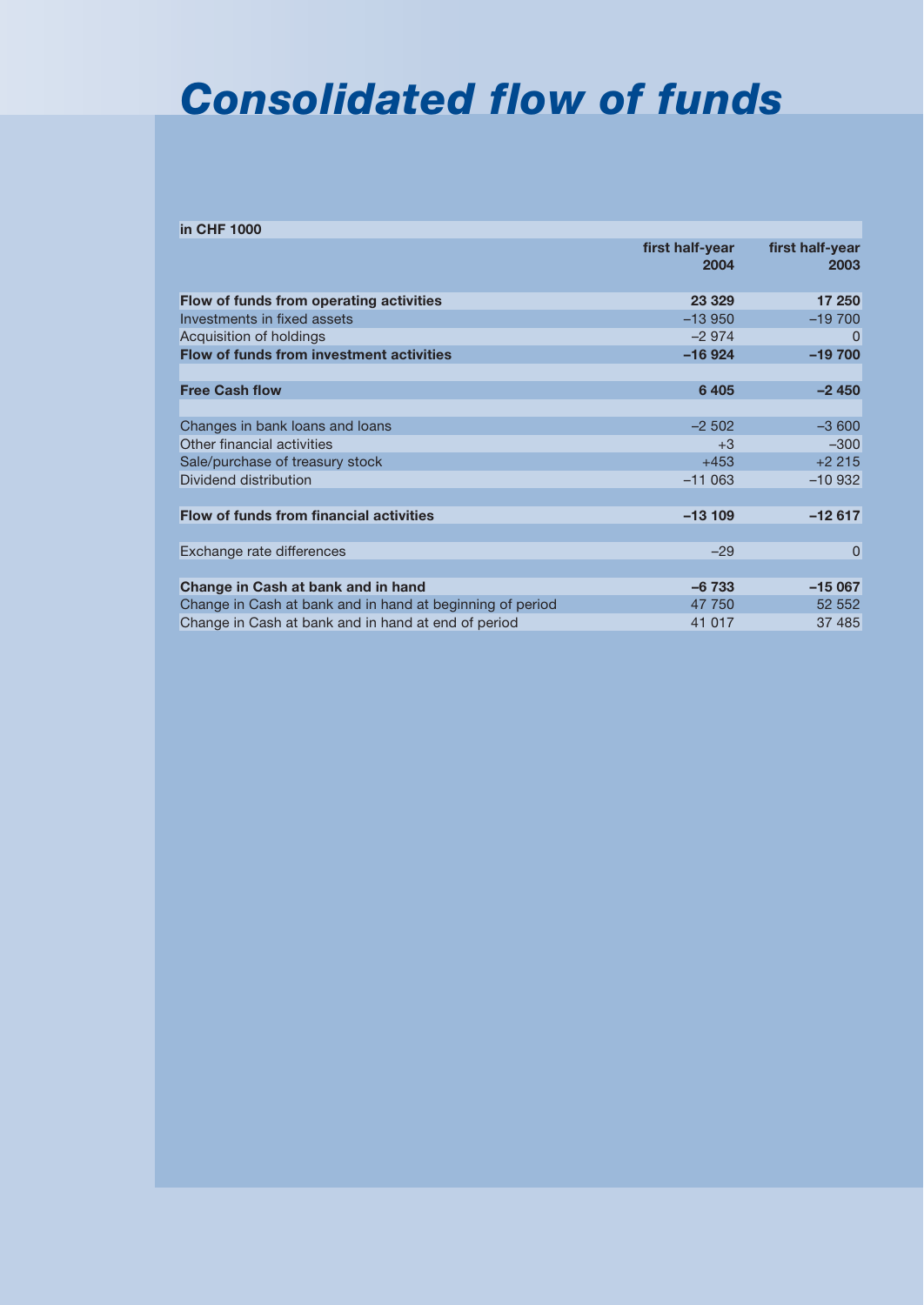### *Consolidated flow of funds*

| in CHF 1000                                               |                         |                         |
|-----------------------------------------------------------|-------------------------|-------------------------|
|                                                           | first half-year<br>2004 | first half-year<br>2003 |
| Flow of funds from operating activities                   | 23 3 29                 | 17 250                  |
| Investments in fixed assets                               | $-13950$                | $-19700$                |
| Acquisition of holdings                                   | $-2974$                 |                         |
| Flow of funds from investment activities                  | $-16924$                | $-19700$                |
|                                                           |                         |                         |
| <b>Free Cash flow</b>                                     | 6405                    | $-2450$                 |
|                                                           |                         |                         |
| Changes in bank loans and loans                           | $-2502$                 | $-3600$                 |
| Other financial activities                                | $+3$                    | $-300$                  |
| Sale/purchase of treasury stock                           | $+453$                  | $+2215$                 |
| Dividend distribution                                     | $-11063$                | $-10932$                |
|                                                           |                         |                         |
| <b>Flow of funds from financial activities</b>            | $-13109$                | $-12617$                |
|                                                           |                         |                         |
| Exchange rate differences                                 | $-29$                   | 0                       |
|                                                           |                         |                         |
| Change in Cash at bank and in hand                        | $-6733$                 | $-15067$                |
| Change in Cash at bank and in hand at beginning of period | 47 750                  | 52 552                  |
| Change in Cash at bank and in hand at end of period       | 41 017                  | 37 485                  |
|                                                           |                         |                         |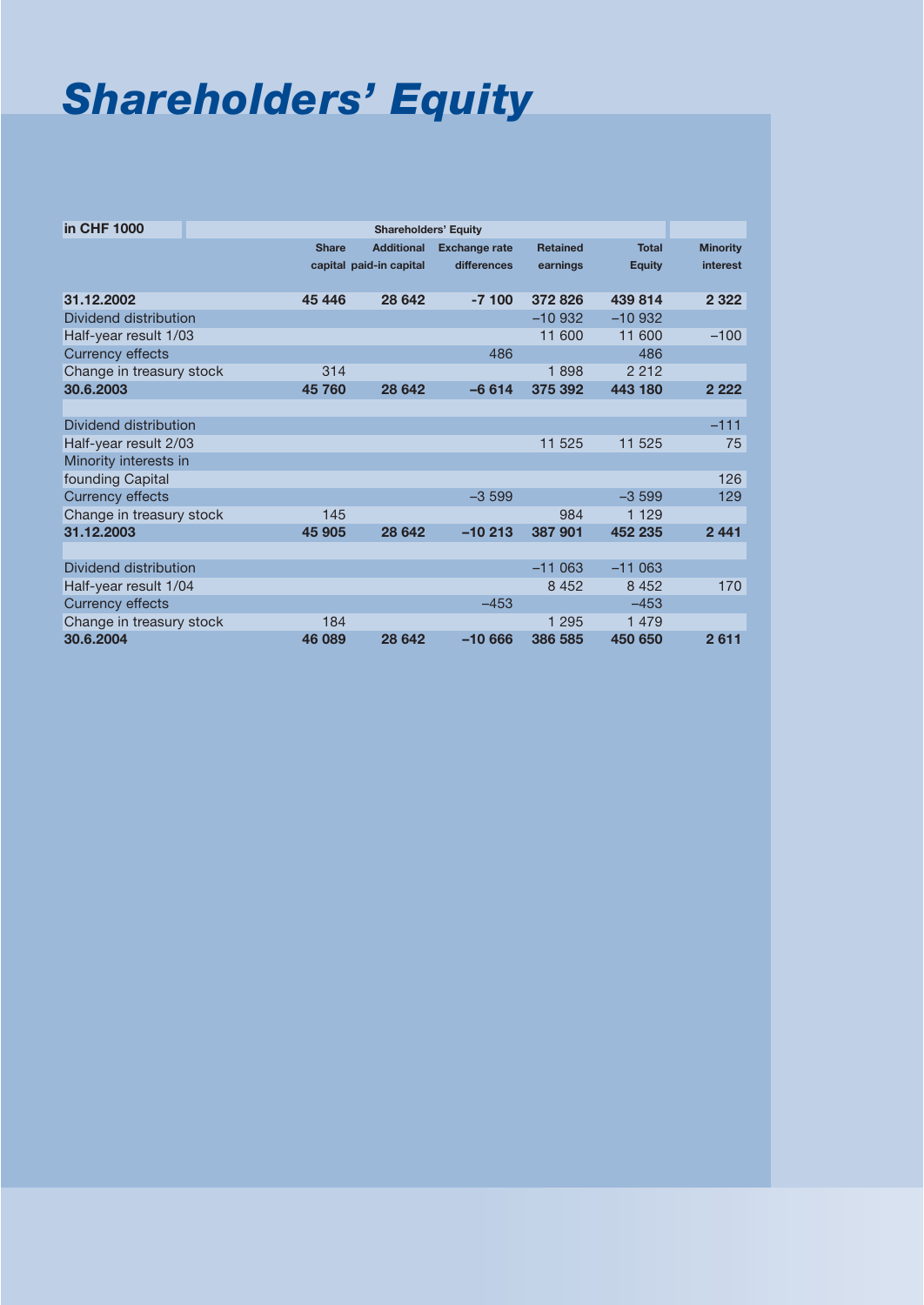# *Shareholders' Equity*

| in CHF 1000              |              | <b>Shareholders' Equity</b> |                      |                 |               |                 |
|--------------------------|--------------|-----------------------------|----------------------|-----------------|---------------|-----------------|
|                          | <b>Share</b> | <b>Additional</b>           | <b>Exchange rate</b> | <b>Retained</b> | <b>Total</b>  | <b>Minority</b> |
|                          |              |                             | differences          |                 |               | interest        |
|                          |              | capital paid-in capital     |                      | earnings        | <b>Equity</b> |                 |
| 31.12.2002               | 45 446       | 28 642                      | $-7100$              | 372826          | 439 814       | 2 3 2 2         |
| Dividend distribution    |              |                             |                      | $-10932$        | $-10932$      |                 |
| Half-year result 1/03    |              |                             |                      | 11 600          | 11 600        | $-100$          |
| <b>Currency effects</b>  |              |                             | 486                  |                 | 486           |                 |
| Change in treasury stock | 314          |                             |                      | 1898            | 2 2 1 2       |                 |
| 30.6.2003                | 45 760       | 28 642                      | $-6614$              | 375 392         | 443 180       | 2 2 2 2         |
|                          |              |                             |                      |                 |               |                 |
| Dividend distribution    |              |                             |                      |                 |               | $-111$          |
| Half-year result 2/03    |              |                             |                      | 11 525          | 11 525        | 75              |
| Minority interests in    |              |                             |                      |                 |               |                 |
| founding Capital         |              |                             |                      |                 |               | 126             |
| <b>Currency effects</b>  |              |                             | $-3599$              |                 | $-3599$       | 129             |
| Change in treasury stock | 145          |                             |                      | 984             | 1 1 2 9       |                 |
| 31.12.2003               | 45 905       | 28 642                      | $-10213$             | 387 901         | 452 235       | 2441            |
|                          |              |                             |                      |                 |               |                 |
| Dividend distribution    |              |                             |                      | $-11063$        | $-11063$      |                 |
| Half-year result 1/04    |              |                             |                      | 8 4 5 2         | 8 4 5 2       | 170             |
| <b>Currency effects</b>  |              |                             | $-453$               |                 | $-453$        |                 |
| Change in treasury stock | 184          |                             |                      | 1 2 9 5         | 1 4 7 9       |                 |
| 30.6.2004                | 46 089       | 28 642                      | $-10666$             | 386 585         | 450 650       | 2611            |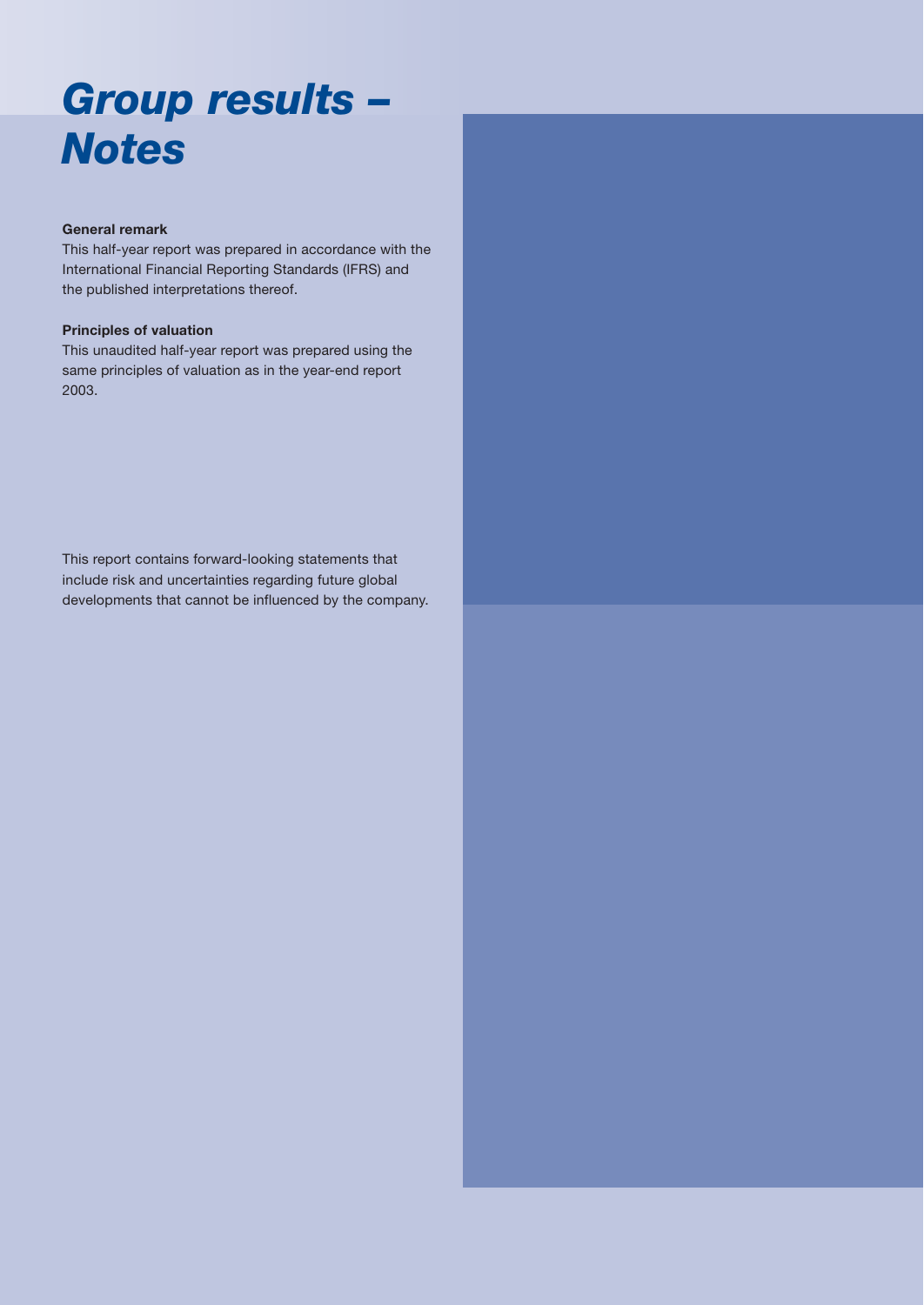## *Group results – Notes*

### **General remark**

This half-year report was prepared in accordance with the International Financial Reporting Standards (IFRS) and the published interpretations thereof.

### **Principles of valuation**

This unaudited half-year report was prepared using the same principles of valuation as in the year-end report 2003.

This report contains forward-looking statements that include risk and uncertainties regarding future global developments that cannot be influenced by the company.